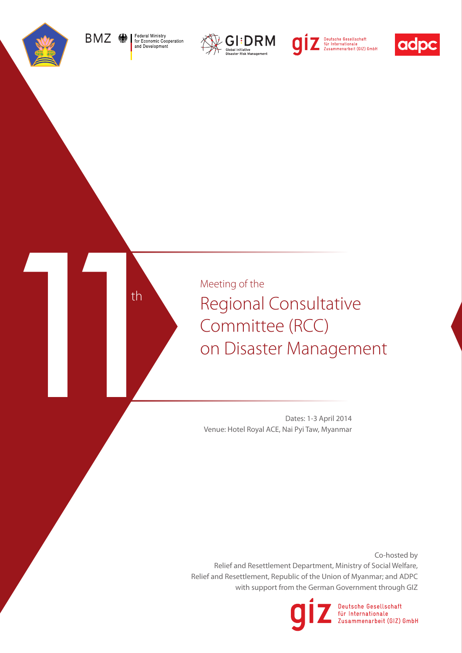

Federal Ministry<br>for Economic Cooperation<br>and Development BMZ RA







th

Meeting of the Regional Consultative Meeting of the<br>
Regional Consultative<br>
Committee (RCC)<br>
on Disaster Management<br>
Venue: Hotel Royal ACE, Nai PyiTaw, Myanmar

Dates: 1-3 April 2014 Venue: Hotel Royal ACE, Nai Pyi Taw, Myanmar

Co-hosted by Relief and Resettlement Department, Ministry of Social Welfare, Relief and Resettlement, Republic of the Union of Myanmar; and ADPC with support from the German Government through GIZ



Deutsche Gesellschaft für Internationale Zusammenarbeit (GIZ) GmbH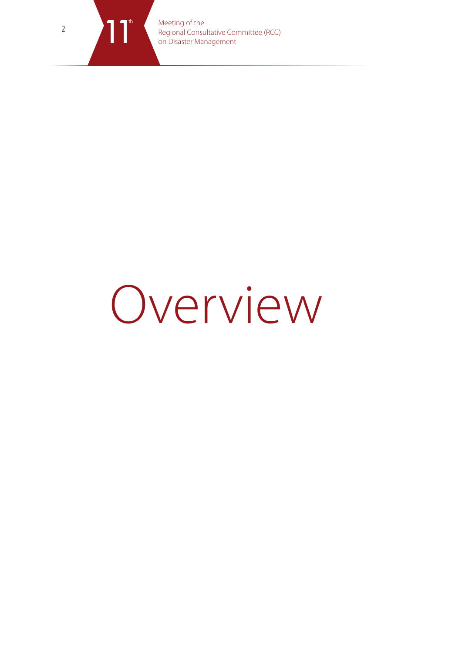

Meeting of the Regional Consultative Committee (RCC)<br>
on Disaster Management

## Overview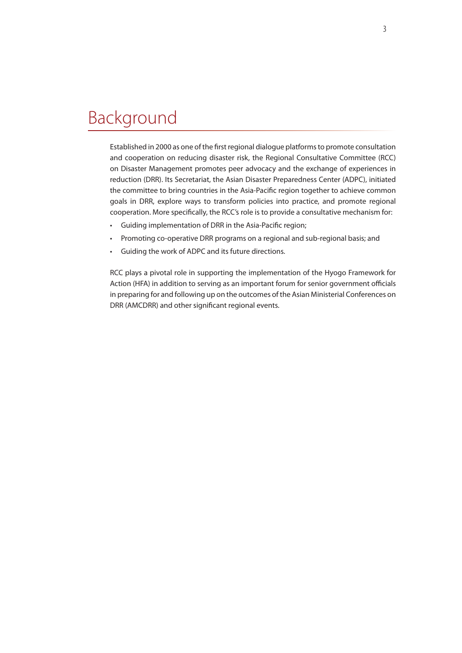## Background

Established in 2000 as one of the first regional dialogue platforms to promote consultation and cooperation on reducing disaster risk, the Regional Consultative Committee (RCC) on Disaster Management promotes peer advocacy and the exchange of experiences in reduction (DRR). Its Secretariat, the Asian Disaster Preparedness Center (ADPC), initiated the committee to bring countries in the Asia-Pacific region together to achieve common goals in DRR, explore ways to transform policies into practice, and promote regional cooperation. More specifically, the RCC's role is to provide a consultative mechanism for:

- Guiding implementation of DRR in the Asia-Pacific region;
- Promoting co-operative DRR programs on a regional and sub-regional basis; and
- Guiding the work of ADPC and its future directions.

RCC plays a pivotal role in supporting the implementation of the Hyogo Framework for Action (HFA) in addition to serving as an important forum for senior government officials in preparing for and following up on the outcomes of the Asian Ministerial Conferences on DRR (AMCDRR) and other significant regional events.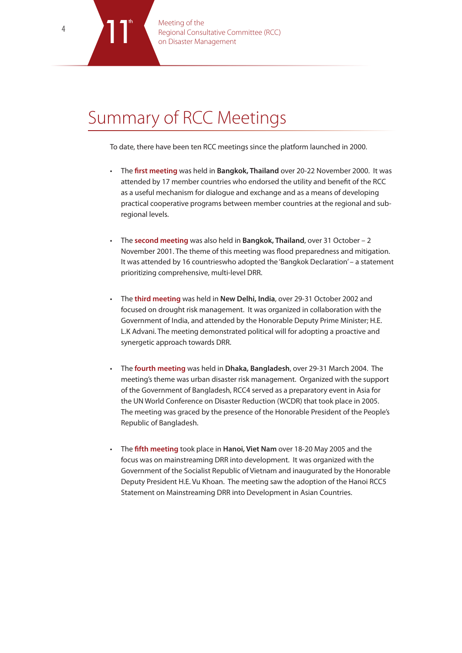Meeting of the Regional Consultative Committee (RCC)<br>on Disaster Management

## Summary of RCC Meetings

To date, there have been ten RCC meetings since the platform launched in 2000.

- The **first meeting** was held in **Bangkok, Thailand** over 20-22 November 2000. It was attended by 17 member countries who endorsed the utility and benefit of the RCC as a useful mechanism for dialogue and exchange and as a means of developing practical cooperative programs between member countries at the regional and subregional levels.
- The **second meeting** was also held in **Bangkok, Thailand**, over 31 October 2 November 2001. The theme of this meeting was flood preparedness and mitigation. It was attended by 16 countrieswho adopted the 'Bangkok Declaration' – a statement prioritizing comprehensive, multi-level DRR.
- The **third meeting** was held in New Delhi, India, over 29-31 October 2002 and focused on drought risk management. It was organized in collaboration with the Government of India, and attended by the Honorable Deputy Prime Minister; H.E. L.K Advani. The meeting demonstrated political will for adopting a proactive and synergetic approach towards DRR.
- The **fourth meeting** was held in **Dhaka, Bangladesh**, over 29-31 March 2004. The meeting's theme was urban disaster risk management. Organized with the support of the Government of Bangladesh, RCC4 served as a preparatory event in Asia for the UN World Conference on Disaster Reduction (WCDR) that took place in 2005. The meeting was graced by the presence of the Honorable President of the People's Republic of Bangladesh.
- The **fifth meeting** took place in Hanoi, Viet Nam over 18-20 May 2005 and the focus was on mainstreaming DRR into development. It was organized with the Government of the Socialist Republic of Vietnam and inaugurated by the Honorable Deputy President H.E. Vu Khoan. The meeting saw the adoption of the Hanoi RCC5 Statement on Mainstreaming DRR into Development in Asian Countries.

th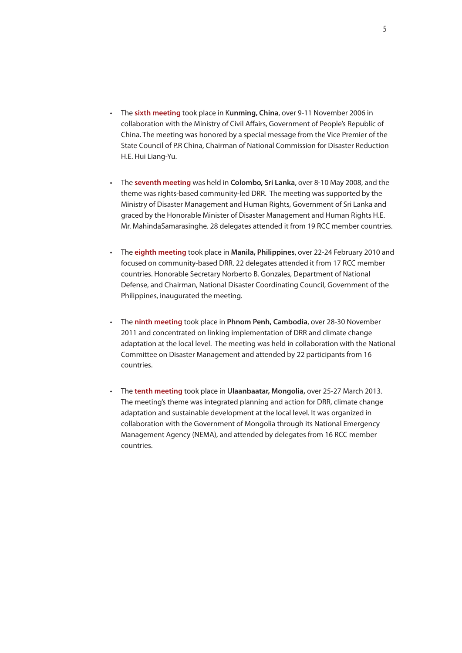- • The **sixth meeting** took place in K**unming, China**, over 9-11 November 2006 in collaboration with the Ministry of Civil Affairs, Government of People's Republic of China. The meeting was honored by a special message from the Vice Premier of the State Council of P.R China, Chairman of National Commission for Disaster Reduction H.E. Hui Liang-Yu.
- • The **seventh meeting** was held in **Colombo, Sri Lanka**, over 8-10 May 2008, and the theme was rights-based community-led DRR. The meeting was supported by the Ministry of Disaster Management and Human Rights, Government of Sri Lanka and graced by the Honorable Minister of Disaster Management and Human Rights H.E. Mr. MahindaSamarasinghe. 28 delegates attended it from 19 RCC member countries.
- • The **eighth meeting** took place in **Manila, Philippines**, over 22-24 February 2010 and focused on community-based DRR. 22 delegates attended it from 17 RCC member countries. Honorable Secretary Norberto B. Gonzales, Department of National Defense, and Chairman, National Disaster Coordinating Council, Government of the Philippines, inaugurated the meeting.
- • The **ninth meeting** took place in **Phnom Penh, Cambodia**, over 28-30 November 2011 and concentrated on linking implementation of DRR and climate change adaptation at the local level. The meeting was held in collaboration with the National Committee on Disaster Management and attended by 22 participants from 16 countries.
- The **tenth meeting** took place in **Ulaanbaatar, Mongolia,** over 25-27 March 2013. The meeting's theme was integrated planning and action for DRR, climate change adaptation and sustainable development at the local level. It was organized in collaboration with the Government of Mongolia through its National Emergency Management Agency (NEMA), and attended by delegates from 16 RCC member countries.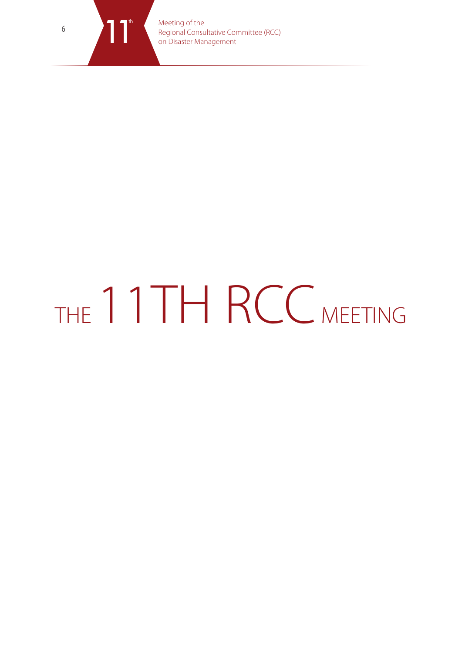

Meeting of the Regional Consultative Committee (RCC)<br>
on Disaster Management

# THE 11TH RCC MEETING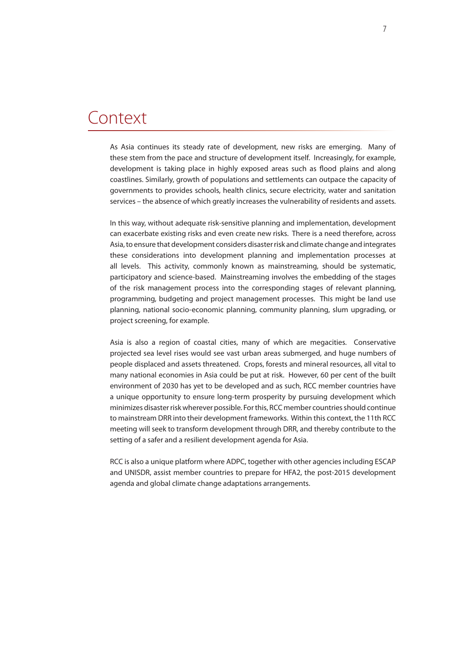### Context

As Asia continues its steady rate of development, new risks are emerging. Many of these stem from the pace and structure of development itself. Increasingly, for example, development is taking place in highly exposed areas such as flood plains and along coastlines. Similarly, growth of populations and settlements can outpace the capacity of governments to provides schools, health clinics, secure electricity, water and sanitation services – the absence of which greatly increases the vulnerability of residents and assets.

In this way, without adequate risk-sensitive planning and implementation, development can exacerbate existing risks and even create new risks. There is a need therefore, across Asia, to ensure that development considers disaster risk and climate change and integrates these considerations into development planning and implementation processes at all levels. This activity, commonly known as mainstreaming, should be systematic, participatory and science-based. Mainstreaming involves the embedding of the stages of the risk management process into the corresponding stages of relevant planning, programming, budgeting and project management processes. This might be land use planning, national socio-economic planning, community planning, slum upgrading, or project screening, for example.

Asia is also a region of coastal cities, many of which are megacities. Conservative projected sea level rises would see vast urban areas submerged, and huge numbers of people displaced and assets threatened. Crops, forests and mineral resources, all vital to many national economies in Asia could be put at risk. However, 60 per cent of the built environment of 2030 has yet to be developed and as such, RCC member countries have a unique opportunity to ensure long-term prosperity by pursuing development which minimizes disaster risk wherever possible. For this, RCC member countries should continue to mainstream DRR into their development frameworks. Within this context, the 11th RCC meeting will seek to transform development through DRR, and thereby contribute to the setting of a safer and a resilient development agenda for Asia.

RCC is also a unique platform where ADPC, together with other agencies including ESCAP and UNISDR, assist member countries to prepare for HFA2, the post-2015 development agenda and global climate change adaptations arrangements.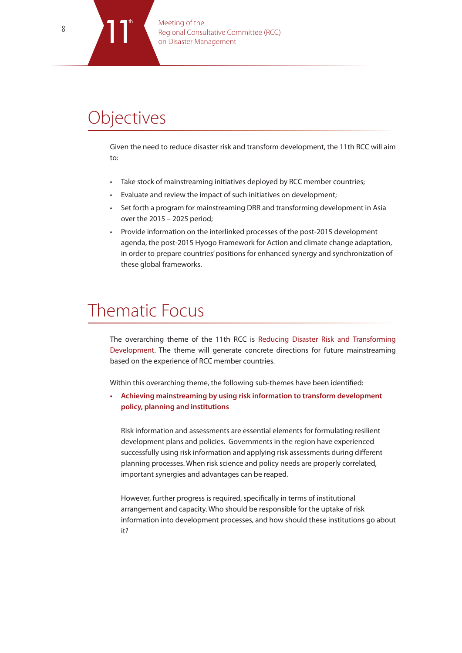## **Objectives**

th

Given the need to reduce disaster risk and transform development, the 11th RCC will aim to:

- Take stock of mainstreaming initiatives deployed by RCC member countries;
- Evaluate and review the impact of such initiatives on development;
- Set forth a program for mainstreaming DRR and transforming development in Asia over the 2015 – 2025 period;
- • Provide information on the interlinked processes of the post-2015 development agenda, the post-2015 Hyogo Framework for Action and climate change adaptation, in order to prepare countries' positions for enhanced synergy and synchronization of these global frameworks.

## Thematic Focus

The overarching theme of the 11th RCC is Reducing Disaster Risk and Transforming Development. The theme will generate concrete directions for future mainstreaming based on the experience of RCC member countries.

Within this overarching theme, the following sub-themes have been identified:

**• Achieving mainstreaming by using risk information to transform development policy, planning and institutions**

Risk information and assessments are essential elements for formulating resilient development plans and policies. Governments in the region have experienced successfully using risk information and applying risk assessments during different planning processes. When risk science and policy needs are properly correlated, important synergies and advantages can be reaped.

However, further progress is required, specifically in terms of institutional arrangement and capacity. Who should be responsible for the uptake of risk information into development processes, and how should these institutions go about it?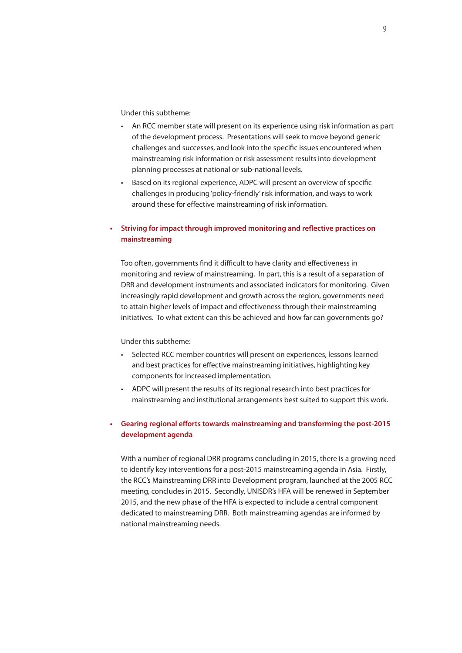Under this subtheme:

- • An RCC member state will present on its experience using risk information as part of the development process. Presentations will seek to move beyond generic challenges and successes, and look into the specific issues encountered when mainstreaming risk information or risk assessment results into development planning processes at national or sub-national levels.
- Based on its regional experience, ADPC will present an overview of specific challenges in producing 'policy-friendly' risk information, and ways to work around these for effective mainstreaming of risk information.

#### **• Striving for impact through improved monitoring and reflective practices on mainstreaming**

Too often, governments find it difficult to have clarity and effectiveness in monitoring and review of mainstreaming. In part, this is a result of a separation of DRR and development instruments and associated indicators for monitoring. Given increasingly rapid development and growth across the region, governments need to attain higher levels of impact and effectiveness through their mainstreaming initiatives. To what extent can this be achieved and how far can governments go?

#### Under this subtheme:

- Selected RCC member countries will present on experiences, lessons learned and best practices for effective mainstreaming initiatives, highlighting key components for increased implementation.
- ADPC will present the results of its regional research into best practices for mainstreaming and institutional arrangements best suited to support this work.

#### **• Gearing regional efforts towards mainstreaming and transforming the post-2015 development agenda**

With a number of regional DRR programs concluding in 2015, there is a growing need to identify key interventions for a post-2015 mainstreaming agenda in Asia. Firstly, the RCC's Mainstreaming DRR into Development program, launched at the 2005 RCC meeting, concludes in 2015. Secondly, UNISDR's HFA will be renewed in September 2015, and the new phase of the HFA is expected to include a central component dedicated to mainstreaming DRR. Both mainstreaming agendas are informed by national mainstreaming needs.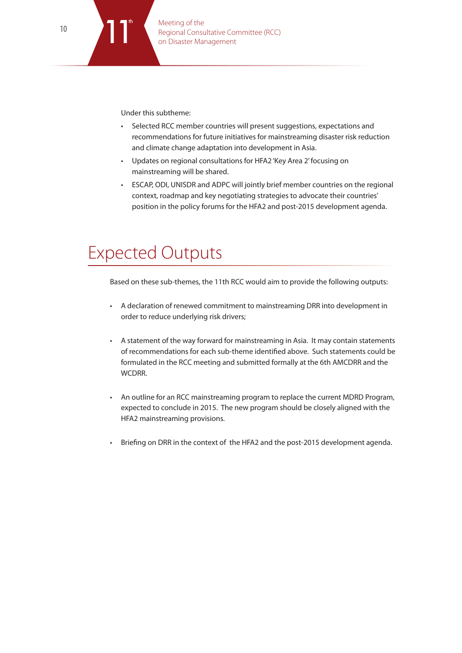Under this subtheme:

th

- • Selected RCC member countries will present suggestions, expectations and recommendations for future initiatives for mainstreaming disaster risk reduction and climate change adaptation into development in Asia.
- • Updates on regional consultations for HFA2 'Key Area 2'focusing on mainstreaming will be shared.
- • ESCAP, ODI, UNISDR and ADPC will jointly brief member countries on the regional context, roadmap and key negotiating strategies to advocate their countries' position in the policy forums for the HFA2 and post-2015 development agenda.

## Expected Outputs

Based on these sub-themes, the 11th RCC would aim to provide the following outputs:

- • A declaration of renewed commitment to mainstreaming DRR into development in order to reduce underlying risk drivers;
- • A statement of the way forward for mainstreaming in Asia. It may contain statements of recommendations for each sub-theme identified above. Such statements could be formulated in the RCC meeting and submitted formally at the 6th AMCDRR and the WCDRR.
- An outline for an RCC mainstreaming program to replace the current MDRD Program, expected to conclude in 2015. The new program should be closely aligned with the HFA2 mainstreaming provisions.
- Briefing on DRR in the context of the HFA2 and the post-2015 development agenda.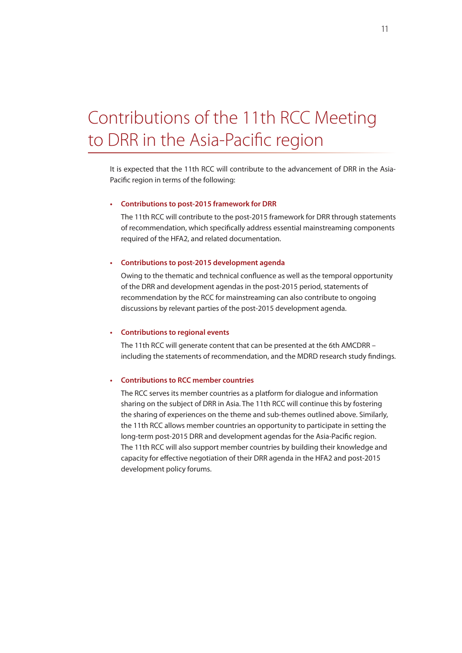## Contributions of the 11th RCC Meeting to DRR in the Asia-Pacific region

It is expected that the 11th RCC will contribute to the advancement of DRR in the Asia-Pacific region in terms of the following:

#### **• Contributions to post-2015 framework for DRR**

The 11th RCC will contribute to the post-2015 framework for DRR through statements of recommendation, which specifically address essential mainstreaming components required of the HFA2, and related documentation.

#### **• Contributions to post-2015 development agenda**

Owing to the thematic and technical confluence as well as the temporal opportunity of the DRR and development agendas in the post-2015 period, statements of recommendation by the RCC for mainstreaming can also contribute to ongoing discussions by relevant parties of the post-2015 development agenda.

#### **• Contributions to regional events**

The 11th RCC will generate content that can be presented at the 6th AMCDRR – including the statements of recommendation, and the MDRD research study findings.

#### **• Contributions to RCC member countries**

The RCC serves its member countries as a platform for dialogue and information sharing on the subject of DRR in Asia. The 11th RCC will continue this by fostering the sharing of experiences on the theme and sub-themes outlined above. Similarly, the 11th RCC allows member countries an opportunity to participate in setting the long-term post-2015 DRR and development agendas for the Asia-Pacific region. The 11th RCC will also support member countries by building their knowledge and capacity for effective negotiation of their DRR agenda in the HFA2 and post-2015 development policy forums.